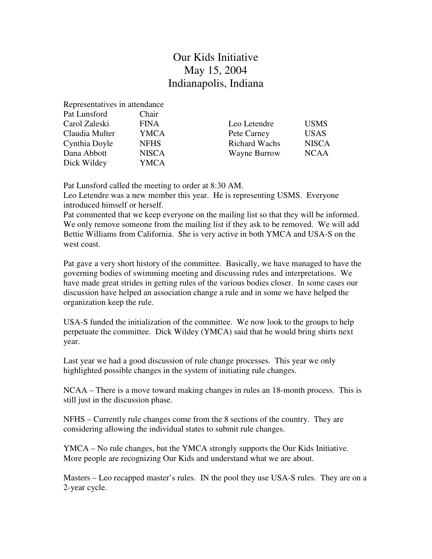## Our Kids Initiative May 15, 2004 Indianapolis, Indiana

Representatives in attendance

| Pat Lunsford   | Chair        |                      |              |
|----------------|--------------|----------------------|--------------|
| Carol Zaleski  | <b>FINA</b>  | Leo Letendre         | <b>USMS</b>  |
| Claudia Multer | <b>YMCA</b>  | Pete Carney          | <b>USAS</b>  |
| Cynthia Doyle  | <b>NFHS</b>  | <b>Richard Wachs</b> | <b>NISCA</b> |
| Dana Abbott    | <b>NISCA</b> | Wayne Burrow         | <b>NCAA</b>  |
| Dick Wildey    | YMCA         |                      |              |

Pat Lunsford called the meeting to order at 8:30 AM.

Leo Letendre was a new member this year. He is representing USMS. Everyone introduced himself or herself.

Pat commented that we keep everyone on the mailing list so that they will be informed. We only remove someone from the mailing list if they ask to be removed. We will add Bettie Williams from California. She is very active in both YMCA and USA-S on the west coast.

Pat gave a very short history of the committee. Basically, we have managed to have the governing bodies of swimming meeting and discussing rules and interpretations. We have made great strides in getting rules of the various bodies closer. In some cases our discussion have helped an association change a rule and in some we have helped the organization keep the rule.

USA-S funded the initialization of the committee. We now look to the groups to help perpetuate the committee. Dick Wildey (YMCA) said that he would bring shirts next year.

Last year we had a good discussion of rule change processes. This year we only highlighted possible changes in the system of initiating rule changes.

NCAA – There is a move toward making changes in rules an 18-month process. This is still just in the discussion phase.

NFHS – Currently rule changes come from the 8 sections of the country. They are considering allowing the individual states to submit rule changes.

YMCA – No rule changes, but the YMCA strongly supports the Our Kids Initiative. More people are recognizing Our Kids and understand what we are about.

Masters – Leo recapped master's rules. IN the pool they use USA-S rules. They are on a 2-year cycle.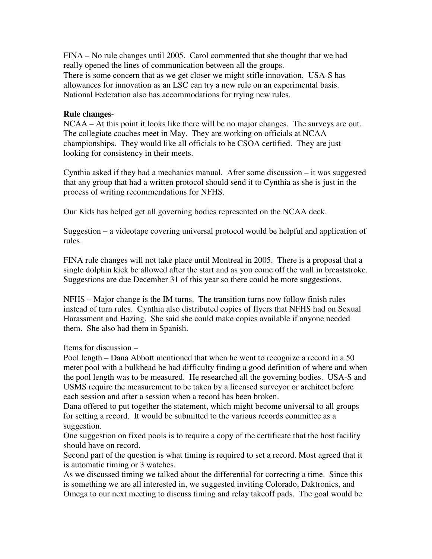FINA – No rule changes until 2005. Carol commented that she thought that we had really opened the lines of communication between all the groups. There is some concern that as we get closer we might stifle innovation. USA-S has allowances for innovation as an LSC can try a new rule on an experimental basis. National Federation also has accommodations for trying new rules.

## **Rule changes**-

NCAA – At this point it looks like there will be no major changes. The surveys are out. The collegiate coaches meet in May. They are working on officials at NCAA championships. They would like all officials to be CSOA certified. They are just looking for consistency in their meets.

Cynthia asked if they had a mechanics manual. After some discussion – it was suggested that any group that had a written protocol should send it to Cynthia as she is just in the process of writing recommendations for NFHS.

Our Kids has helped get all governing bodies represented on the NCAA deck.

Suggestion – a videotape covering universal protocol would be helpful and application of rules.

FINA rule changes will not take place until Montreal in 2005. There is a proposal that a single dolphin kick be allowed after the start and as you come off the wall in breaststroke. Suggestions are due December 31 of this year so there could be more suggestions.

NFHS – Major change is the IM turns. The transition turns now follow finish rules instead of turn rules. Cynthia also distributed copies of flyers that NFHS had on Sexual Harassment and Hazing. She said she could make copies available if anyone needed them. She also had them in Spanish.

Items for discussion –

Pool length – Dana Abbott mentioned that when he went to recognize a record in a 50 meter pool with a bulkhead he had difficulty finding a good definition of where and when the pool length was to be measured. He researched all the governing bodies. USA-S and USMS require the measurement to be taken by a licensed surveyor or architect before each session and after a session when a record has been broken.

Dana offered to put together the statement, which might become universal to all groups for setting a record. It would be submitted to the various records committee as a suggestion.

One suggestion on fixed pools is to require a copy of the certificate that the host facility should have on record.

Second part of the question is what timing is required to set a record. Most agreed that it is automatic timing or 3 watches.

As we discussed timing we talked about the differential for correcting a time. Since this is something we are all interested in, we suggested inviting Colorado, Daktronics, and Omega to our next meeting to discuss timing and relay takeoff pads. The goal would be